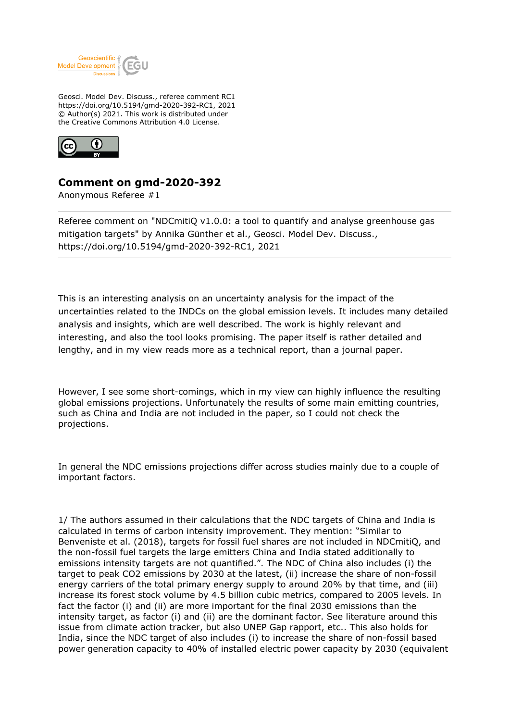

Geosci. Model Dev. Discuss., referee comment RC1 https://doi.org/10.5194/gmd-2020-392-RC1, 2021 © Author(s) 2021. This work is distributed under the Creative Commons Attribution 4.0 License.



## **Comment on gmd-2020-392**

Anonymous Referee #1

Referee comment on "NDCmitiQ v1.0.0: a tool to quantify and analyse greenhouse gas mitigation targets" by Annika Günther et al., Geosci. Model Dev. Discuss., https://doi.org/10.5194/gmd-2020-392-RC1, 2021

This is an interesting analysis on an uncertainty analysis for the impact of the uncertainties related to the INDCs on the global emission levels. It includes many detailed analysis and insights, which are well described. The work is highly relevant and interesting, and also the tool looks promising. The paper itself is rather detailed and lengthy, and in my view reads more as a technical report, than a journal paper.

However, I see some short-comings, which in my view can highly influence the resulting global emissions projections. Unfortunately the results of some main emitting countries, such as China and India are not included in the paper, so I could not check the projections.

In general the NDC emissions projections differ across studies mainly due to a couple of important factors.

1/ The authors assumed in their calculations that the NDC targets of China and India is calculated in terms of carbon intensity improvement. They mention: "Similar to Benveniste et al. (2018), targets for fossil fuel shares are not included in NDCmitiQ, and the non-fossil fuel targets the large emitters China and India stated additionally to emissions intensity targets are not quantified.". The NDC of China also includes (i) the target to peak CO2 emissions by 2030 at the latest, (ii) increase the share of non-fossil energy carriers of the total primary energy supply to around 20% by that time, and (iii) increase its forest stock volume by 4.5 billion cubic metrics, compared to 2005 levels. In fact the factor (i) and (ii) are more important for the final 2030 emissions than the intensity target, as factor (i) and (ii) are the dominant factor. See literature around this issue from climate action tracker, but also UNEP Gap rapport, etc.. This also holds for India, since the NDC target of also includes (i) to increase the share of non-fossil based power generation capacity to 40% of installed electric power capacity by 2030 (equivalent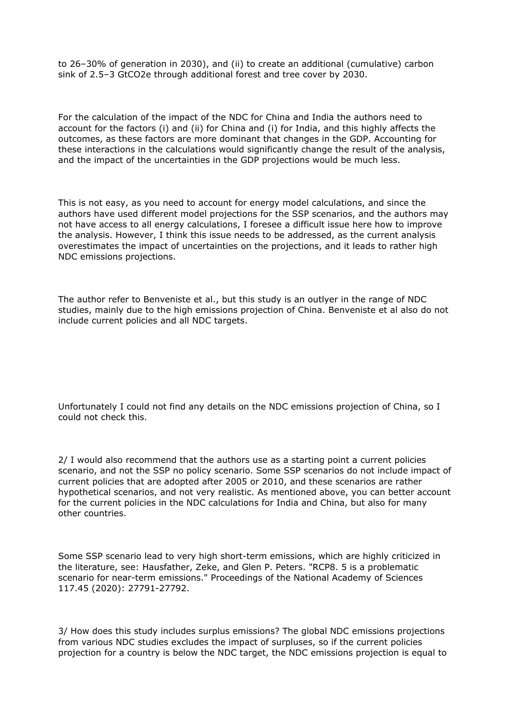to 26–30% of generation in 2030), and (ii) to create an additional (cumulative) carbon sink of 2.5–3 GtCO2e through additional forest and tree cover by 2030.

For the calculation of the impact of the NDC for China and India the authors need to account for the factors (i) and (ii) for China and (i) for India, and this highly affects the outcomes, as these factors are more dominant that changes in the GDP. Accounting for these interactions in the calculations would significantly change the result of the analysis, and the impact of the uncertainties in the GDP projections would be much less.

This is not easy, as you need to account for energy model calculations, and since the authors have used different model projections for the SSP scenarios, and the authors may not have access to all energy calculations, I foresee a difficult issue here how to improve the analysis. However, I think this issue needs to be addressed, as the current analysis overestimates the impact of uncertainties on the projections, and it leads to rather high NDC emissions projections.

The author refer to Benveniste et al., but this study is an outlyer in the range of NDC studies, mainly due to the high emissions projection of China. Benveniste et al also do not include current policies and all NDC targets.

Unfortunately I could not find any details on the NDC emissions projection of China, so I could not check this.

2/ I would also recommend that the authors use as a starting point a current policies scenario, and not the SSP no policy scenario. Some SSP scenarios do not include impact of current policies that are adopted after 2005 or 2010, and these scenarios are rather hypothetical scenarios, and not very realistic. As mentioned above, you can better account for the current policies in the NDC calculations for India and China, but also for many other countries.

Some SSP scenario lead to very high short-term emissions, which are highly criticized in the literature, see: Hausfather, Zeke, and Glen P. Peters. "RCP8. 5 is a problematic scenario for near-term emissions." Proceedings of the National Academy of Sciences 117.45 (2020): 27791-27792.

3/ How does this study includes surplus emissions? The global NDC emissions projections from various NDC studies excludes the impact of surpluses, so if the current policies projection for a country is below the NDC target, the NDC emissions projection is equal to